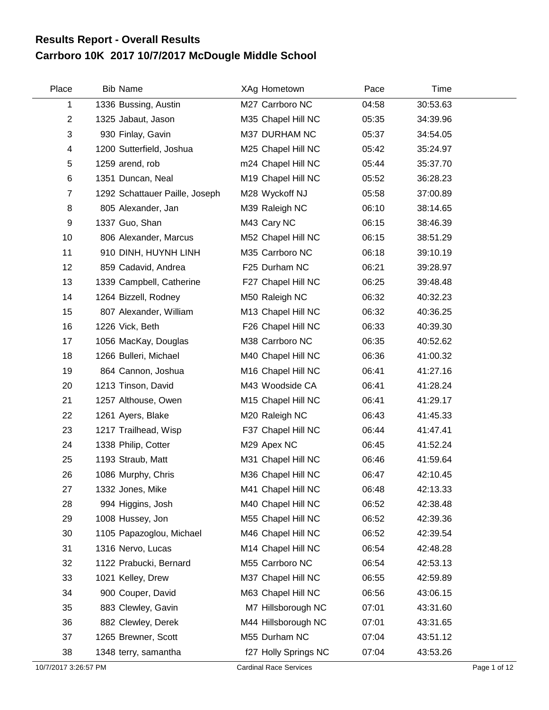## **Carrboro 10K 2017 10/7/2017 McDougle Middle School Results Report - Overall Results**

| Place          | <b>Bib Name</b>                | XAg Hometown         | Pace  | Time     |  |
|----------------|--------------------------------|----------------------|-------|----------|--|
| 1              | 1336 Bussing, Austin           | M27 Carrboro NC      | 04:58 | 30:53.63 |  |
| $\overline{2}$ | 1325 Jabaut, Jason             | M35 Chapel Hill NC   | 05:35 | 34:39.96 |  |
| $\sqrt{3}$     | 930 Finlay, Gavin              | M37 DURHAM NC        | 05:37 | 34:54.05 |  |
| 4              | 1200 Sutterfield, Joshua       | M25 Chapel Hill NC   | 05:42 | 35:24.97 |  |
| 5              | 1259 arend, rob                | m24 Chapel Hill NC   | 05:44 | 35:37.70 |  |
| 6              | 1351 Duncan, Neal              | M19 Chapel Hill NC   | 05:52 | 36:28.23 |  |
| $\overline{7}$ | 1292 Schattauer Paille, Joseph | M28 Wyckoff NJ       | 05:58 | 37:00.89 |  |
| 8              | 805 Alexander, Jan             | M39 Raleigh NC       | 06:10 | 38:14.65 |  |
| 9              | 1337 Guo, Shan                 | M43 Cary NC          | 06:15 | 38:46.39 |  |
| 10             | 806 Alexander, Marcus          | M52 Chapel Hill NC   | 06:15 | 38:51.29 |  |
| 11             | 910 DINH, HUYNH LINH           | M35 Carrboro NC      | 06:18 | 39:10.19 |  |
| 12             | 859 Cadavid, Andrea            | F25 Durham NC        | 06:21 | 39:28.97 |  |
| 13             | 1339 Campbell, Catherine       | F27 Chapel Hill NC   | 06:25 | 39:48.48 |  |
| 14             | 1264 Bizzell, Rodney           | M50 Raleigh NC       | 06:32 | 40:32.23 |  |
| 15             | 807 Alexander, William         | M13 Chapel Hill NC   | 06:32 | 40:36.25 |  |
| 16             | 1226 Vick, Beth                | F26 Chapel Hill NC   | 06:33 | 40:39.30 |  |
| 17             | 1056 MacKay, Douglas           | M38 Carrboro NC      | 06:35 | 40:52.62 |  |
| 18             | 1266 Bulleri, Michael          | M40 Chapel Hill NC   | 06:36 | 41:00.32 |  |
| 19             | 864 Cannon, Joshua             | M16 Chapel Hill NC   | 06:41 | 41:27.16 |  |
| 20             | 1213 Tinson, David             | M43 Woodside CA      | 06:41 | 41:28.24 |  |
| 21             | 1257 Althouse, Owen            | M15 Chapel Hill NC   | 06:41 | 41:29.17 |  |
| 22             | 1261 Ayers, Blake              | M20 Raleigh NC       | 06:43 | 41:45.33 |  |
| 23             | 1217 Trailhead, Wisp           | F37 Chapel Hill NC   | 06:44 | 41:47.41 |  |
| 24             | 1338 Philip, Cotter            | M29 Apex NC          | 06:45 | 41:52.24 |  |
| 25             | 1193 Straub, Matt              | M31 Chapel Hill NC   | 06:46 | 41:59.64 |  |
| 26             | 1086 Murphy, Chris             | M36 Chapel Hill NC   | 06:47 | 42:10.45 |  |
| 27             | 1332 Jones, Mike               | M41 Chapel Hill NC   | 06:48 | 42:13.33 |  |
| 28             | 994 Higgins, Josh              | M40 Chapel Hill NC   | 06:52 | 42:38.48 |  |
| 29             | 1008 Hussey, Jon               | M55 Chapel Hill NC   | 06:52 | 42:39.36 |  |
| 30             | 1105 Papazoglou, Michael       | M46 Chapel Hill NC   | 06:52 | 42:39.54 |  |
| 31             | 1316 Nervo, Lucas              | M14 Chapel Hill NC   | 06:54 | 42:48.28 |  |
| 32             | 1122 Prabucki, Bernard         | M55 Carrboro NC      | 06:54 | 42:53.13 |  |
| 33             | 1021 Kelley, Drew              | M37 Chapel Hill NC   | 06:55 | 42:59.89 |  |
| 34             | 900 Couper, David              | M63 Chapel Hill NC   | 06:56 | 43:06.15 |  |
| 35             | 883 Clewley, Gavin             | M7 Hillsborough NC   | 07:01 | 43:31.60 |  |
| 36             | 882 Clewley, Derek             | M44 Hillsborough NC  | 07:01 | 43:31.65 |  |
| 37             | 1265 Brewner, Scott            | M55 Durham NC        | 07:04 | 43:51.12 |  |
| 38             | 1348 terry, samantha           | f27 Holly Springs NC | 07:04 | 43:53.26 |  |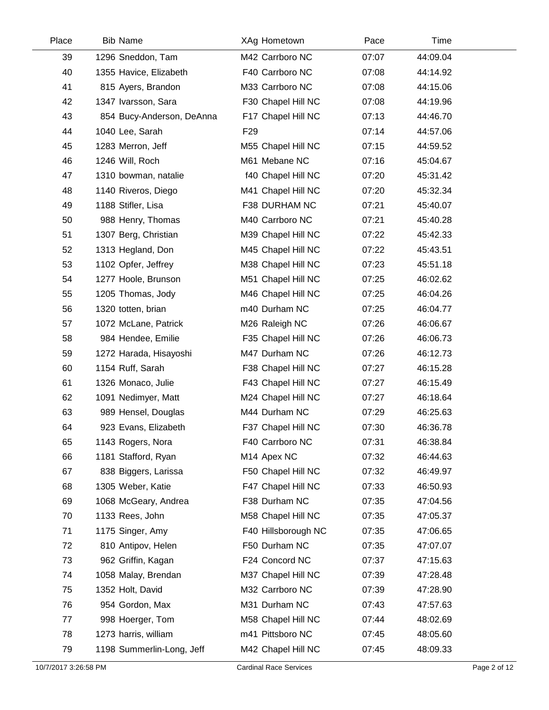| Place | <b>Bib Name</b>           | XAg Hometown        | Pace  | Time     |  |
|-------|---------------------------|---------------------|-------|----------|--|
| 39    | 1296 Sneddon, Tam         | M42 Carrboro NC     | 07:07 | 44:09.04 |  |
| 40    | 1355 Havice, Elizabeth    | F40 Carrboro NC     | 07:08 | 44:14.92 |  |
| 41    | 815 Ayers, Brandon        | M33 Carrboro NC     | 07:08 | 44:15.06 |  |
| 42    | 1347 Ivarsson, Sara       | F30 Chapel Hill NC  | 07:08 | 44:19.96 |  |
| 43    | 854 Bucy-Anderson, DeAnna | F17 Chapel Hill NC  | 07:13 | 44:46.70 |  |
| 44    | 1040 Lee, Sarah           | F <sub>29</sub>     | 07:14 | 44:57.06 |  |
| 45    | 1283 Merron, Jeff         | M55 Chapel Hill NC  | 07:15 | 44:59.52 |  |
| 46    | 1246 Will, Roch           | M61 Mebane NC       | 07:16 | 45:04.67 |  |
| 47    | 1310 bowman, natalie      | f40 Chapel Hill NC  | 07:20 | 45:31.42 |  |
| 48    | 1140 Riveros, Diego       | M41 Chapel Hill NC  | 07:20 | 45:32.34 |  |
| 49    | 1188 Stifler, Lisa        | F38 DURHAM NC       | 07:21 | 45:40.07 |  |
| 50    | 988 Henry, Thomas         | M40 Carrboro NC     | 07:21 | 45:40.28 |  |
| 51    | 1307 Berg, Christian      | M39 Chapel Hill NC  | 07:22 | 45:42.33 |  |
| 52    | 1313 Hegland, Don         | M45 Chapel Hill NC  | 07:22 | 45:43.51 |  |
| 53    | 1102 Opfer, Jeffrey       | M38 Chapel Hill NC  | 07:23 | 45:51.18 |  |
| 54    | 1277 Hoole, Brunson       | M51 Chapel Hill NC  | 07:25 | 46:02.62 |  |
| 55    | 1205 Thomas, Jody         | M46 Chapel Hill NC  | 07:25 | 46:04.26 |  |
| 56    | 1320 totten, brian        | m40 Durham NC       | 07:25 | 46:04.77 |  |
| 57    | 1072 McLane, Patrick      | M26 Raleigh NC      | 07:26 | 46:06.67 |  |
| 58    | 984 Hendee, Emilie        | F35 Chapel Hill NC  | 07:26 | 46:06.73 |  |
| 59    | 1272 Harada, Hisayoshi    | M47 Durham NC       | 07:26 | 46:12.73 |  |
| 60    | 1154 Ruff, Sarah          | F38 Chapel Hill NC  | 07:27 | 46:15.28 |  |
| 61    | 1326 Monaco, Julie        | F43 Chapel Hill NC  | 07:27 | 46:15.49 |  |
| 62    | 1091 Nedimyer, Matt       | M24 Chapel Hill NC  | 07:27 | 46:18.64 |  |
| 63    | 989 Hensel, Douglas       | M44 Durham NC       | 07:29 | 46:25.63 |  |
| 64    | 923 Evans, Elizabeth      | F37 Chapel Hill NC  | 07:30 | 46:36.78 |  |
| 65    | 1143 Rogers, Nora         | F40 Carrboro NC     | 07:31 | 46:38.84 |  |
| 66    | 1181 Stafford, Ryan       | M14 Apex NC         | 07:32 | 46:44.63 |  |
| 67    | 838 Biggers, Larissa      | F50 Chapel Hill NC  | 07:32 | 46:49.97 |  |
| 68    | 1305 Weber, Katie         | F47 Chapel Hill NC  | 07:33 | 46:50.93 |  |
| 69    | 1068 McGeary, Andrea      | F38 Durham NC       | 07:35 | 47:04.56 |  |
| 70    | 1133 Rees, John           | M58 Chapel Hill NC  | 07:35 | 47:05.37 |  |
| 71    | 1175 Singer, Amy          | F40 Hillsborough NC | 07:35 | 47:06.65 |  |
| 72    | 810 Antipov, Helen        | F50 Durham NC       | 07:35 | 47:07.07 |  |
| 73    | 962 Griffin, Kagan        | F24 Concord NC      | 07:37 | 47:15.63 |  |
| 74    | 1058 Malay, Brendan       | M37 Chapel Hill NC  | 07:39 | 47:28.48 |  |
| 75    | 1352 Holt, David          | M32 Carrboro NC     | 07:39 | 47:28.90 |  |
| 76    | 954 Gordon, Max           | M31 Durham NC       | 07:43 | 47:57.63 |  |
| 77    | 998 Hoerger, Tom          | M58 Chapel Hill NC  | 07:44 | 48:02.69 |  |
| 78    | 1273 harris, william      | m41 Pittsboro NC    | 07:45 | 48:05.60 |  |
| 79    | 1198 Summerlin-Long, Jeff | M42 Chapel Hill NC  | 07:45 | 48:09.33 |  |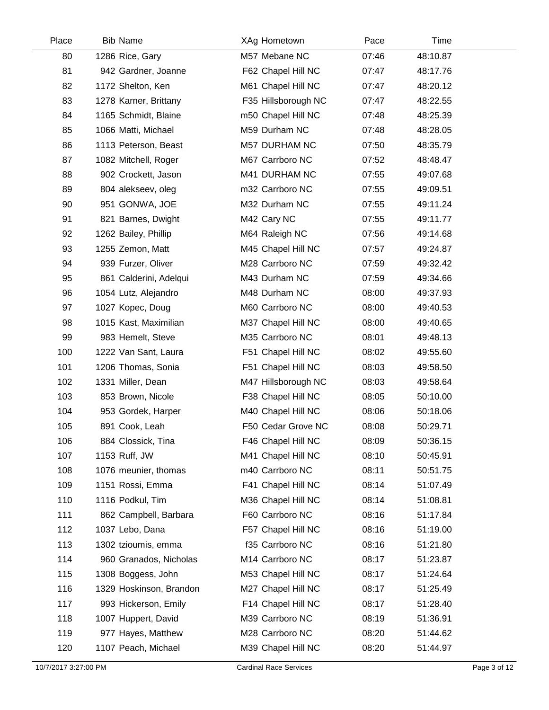| Place | <b>Bib Name</b>         | XAg Hometown         | Pace  | Time     |  |
|-------|-------------------------|----------------------|-------|----------|--|
| 80    | 1286 Rice, Gary         | M57 Mebane NC        | 07:46 | 48:10.87 |  |
| 81    | 942 Gardner, Joanne     | F62 Chapel Hill NC   | 07:47 | 48:17.76 |  |
| 82    | 1172 Shelton, Ken       | M61 Chapel Hill NC   | 07:47 | 48:20.12 |  |
| 83    | 1278 Karner, Brittany   | F35 Hillsborough NC  | 07:47 | 48:22.55 |  |
| 84    | 1165 Schmidt, Blaine    | m50 Chapel Hill NC   | 07:48 | 48:25.39 |  |
| 85    | 1066 Matti, Michael     | M59 Durham NC        | 07:48 | 48:28.05 |  |
| 86    | 1113 Peterson, Beast    | <b>M57 DURHAM NC</b> | 07:50 | 48:35.79 |  |
| 87    | 1082 Mitchell, Roger    | M67 Carrboro NC      | 07:52 | 48:48.47 |  |
| 88    | 902 Crockett, Jason     | M41 DURHAM NC        | 07:55 | 49:07.68 |  |
| 89    | 804 alekseev, oleg      | m32 Carrboro NC      | 07:55 | 49:09.51 |  |
| 90    | 951 GONWA, JOE          | M32 Durham NC        | 07:55 | 49:11.24 |  |
| 91    | 821 Barnes, Dwight      | M42 Cary NC          | 07:55 | 49:11.77 |  |
| 92    | 1262 Bailey, Phillip    | M64 Raleigh NC       | 07:56 | 49:14.68 |  |
| 93    | 1255 Zemon, Matt        | M45 Chapel Hill NC   | 07:57 | 49:24.87 |  |
| 94    | 939 Furzer, Oliver      | M28 Carrboro NC      | 07:59 | 49:32.42 |  |
| 95    | 861 Calderini, Adelqui  | M43 Durham NC        | 07:59 | 49:34.66 |  |
| 96    | 1054 Lutz, Alejandro    | M48 Durham NC        | 08:00 | 49:37.93 |  |
| 97    | 1027 Kopec, Doug        | M60 Carrboro NC      | 08:00 | 49:40.53 |  |
| 98    | 1015 Kast, Maximilian   | M37 Chapel Hill NC   | 08:00 | 49:40.65 |  |
| 99    | 983 Hemelt, Steve       | M35 Carrboro NC      | 08:01 | 49:48.13 |  |
| 100   | 1222 Van Sant, Laura    | F51 Chapel Hill NC   | 08:02 | 49:55.60 |  |
| 101   | 1206 Thomas, Sonia      | F51 Chapel Hill NC   | 08:03 | 49:58.50 |  |
| 102   | 1331 Miller, Dean       | M47 Hillsborough NC  | 08:03 | 49:58.64 |  |
| 103   | 853 Brown, Nicole       | F38 Chapel Hill NC   | 08:05 | 50:10.00 |  |
| 104   | 953 Gordek, Harper      | M40 Chapel Hill NC   | 08:06 | 50:18.06 |  |
| 105   | 891 Cook, Leah          | F50 Cedar Grove NC   | 08:08 | 50:29.71 |  |
| 106   | 884 Clossick, Tina      | F46 Chapel Hill NC   | 08:09 | 50:36.15 |  |
| 107   | 1153 Ruff, JW           | M41 Chapel Hill NC   | 08:10 | 50:45.91 |  |
| 108   | 1076 meunier, thomas    | m40 Carrboro NC      | 08:11 | 50:51.75 |  |
| 109   | 1151 Rossi, Emma        | F41 Chapel Hill NC   | 08:14 | 51:07.49 |  |
| 110   | 1116 Podkul, Tim        | M36 Chapel Hill NC   | 08:14 | 51:08.81 |  |
| 111   | 862 Campbell, Barbara   | F60 Carrboro NC      | 08:16 | 51:17.84 |  |
| 112   | 1037 Lebo, Dana         | F57 Chapel Hill NC   | 08:16 | 51:19.00 |  |
| 113   | 1302 tzioumis, emma     | f35 Carrboro NC      | 08:16 | 51:21.80 |  |
| 114   | 960 Granados, Nicholas  | M14 Carrboro NC      | 08:17 | 51:23.87 |  |
| 115   | 1308 Boggess, John      | M53 Chapel Hill NC   | 08:17 | 51:24.64 |  |
| 116   | 1329 Hoskinson, Brandon | M27 Chapel Hill NC   | 08:17 | 51:25.49 |  |
| 117   | 993 Hickerson, Emily    | F14 Chapel Hill NC   | 08:17 | 51:28.40 |  |
| 118   | 1007 Huppert, David     | M39 Carrboro NC      | 08:19 | 51:36.91 |  |
| 119   | 977 Hayes, Matthew      | M28 Carrboro NC      | 08:20 | 51:44.62 |  |
| 120   | 1107 Peach, Michael     | M39 Chapel Hill NC   | 08:20 | 51:44.97 |  |
|       |                         |                      |       |          |  |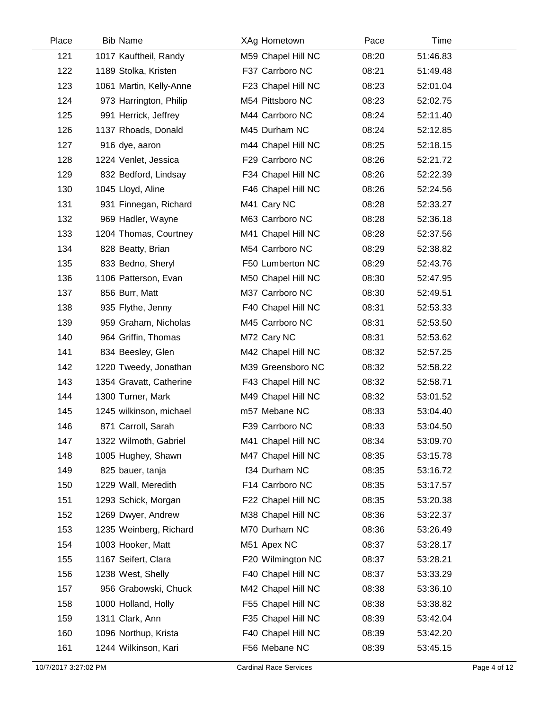| Place | <b>Bib Name</b>         | XAg Hometown       | Pace  | Time     |  |
|-------|-------------------------|--------------------|-------|----------|--|
| 121   | 1017 Kauftheil, Randy   | M59 Chapel Hill NC | 08:20 | 51:46.83 |  |
| 122   | 1189 Stolka, Kristen    | F37 Carrboro NC    | 08:21 | 51:49.48 |  |
| 123   | 1061 Martin, Kelly-Anne | F23 Chapel Hill NC | 08:23 | 52:01.04 |  |
| 124   | 973 Harrington, Philip  | M54 Pittsboro NC   | 08:23 | 52:02.75 |  |
| 125   | 991 Herrick, Jeffrey    | M44 Carrboro NC    | 08:24 | 52:11.40 |  |
| 126   | 1137 Rhoads, Donald     | M45 Durham NC      | 08:24 | 52:12.85 |  |
| 127   | 916 dye, aaron          | m44 Chapel Hill NC | 08:25 | 52:18.15 |  |
| 128   | 1224 Venlet, Jessica    | F29 Carrboro NC    | 08:26 | 52:21.72 |  |
| 129   | 832 Bedford, Lindsay    | F34 Chapel Hill NC | 08:26 | 52:22.39 |  |
| 130   | 1045 Lloyd, Aline       | F46 Chapel Hill NC | 08:26 | 52:24.56 |  |
| 131   | 931 Finnegan, Richard   | M41 Cary NC        | 08:28 | 52:33.27 |  |
| 132   | 969 Hadler, Wayne       | M63 Carrboro NC    | 08:28 | 52:36.18 |  |
| 133   | 1204 Thomas, Courtney   | M41 Chapel Hill NC | 08:28 | 52:37.56 |  |
| 134   | 828 Beatty, Brian       | M54 Carrboro NC    | 08:29 | 52:38.82 |  |
| 135   | 833 Bedno, Sheryl       | F50 Lumberton NC   | 08:29 | 52:43.76 |  |
| 136   | 1106 Patterson, Evan    | M50 Chapel Hill NC | 08:30 | 52:47.95 |  |
| 137   | 856 Burr, Matt          | M37 Carrboro NC    | 08:30 | 52:49.51 |  |
| 138   | 935 Flythe, Jenny       | F40 Chapel Hill NC | 08:31 | 52:53.33 |  |
| 139   | 959 Graham, Nicholas    | M45 Carrboro NC    | 08:31 | 52:53.50 |  |
| 140   | 964 Griffin, Thomas     | M72 Cary NC        | 08:31 | 52:53.62 |  |
| 141   | 834 Beesley, Glen       | M42 Chapel Hill NC | 08:32 | 52:57.25 |  |
| 142   | 1220 Tweedy, Jonathan   | M39 Greensboro NC  | 08:32 | 52:58.22 |  |
| 143   | 1354 Gravatt, Catherine | F43 Chapel Hill NC | 08:32 | 52:58.71 |  |
| 144   | 1300 Turner, Mark       | M49 Chapel Hill NC | 08:32 | 53:01.52 |  |
| 145   | 1245 wilkinson, michael | m57 Mebane NC      | 08:33 | 53:04.40 |  |
| 146   | 871 Carroll, Sarah      | F39 Carrboro NC    | 08:33 | 53:04.50 |  |
| 147   | 1322 Wilmoth, Gabriel   | M41 Chapel Hill NC | 08:34 | 53:09.70 |  |
| 148   | 1005 Hughey, Shawn      | M47 Chapel Hill NC | 08:35 | 53:15.78 |  |
| 149   | 825 bauer, tanja        | f34 Durham NC      | 08:35 | 53:16.72 |  |
| 150   | 1229 Wall, Meredith     | F14 Carrboro NC    | 08:35 | 53:17.57 |  |
| 151   | 1293 Schick, Morgan     | F22 Chapel Hill NC | 08:35 | 53:20.38 |  |
| 152   | 1269 Dwyer, Andrew      | M38 Chapel Hill NC | 08:36 | 53:22.37 |  |
| 153   | 1235 Weinberg, Richard  | M70 Durham NC      | 08:36 | 53:26.49 |  |
| 154   | 1003 Hooker, Matt       | M51 Apex NC        | 08:37 | 53:28.17 |  |
| 155   | 1167 Seifert, Clara     | F20 Wilmington NC  | 08:37 | 53:28.21 |  |
| 156   | 1238 West, Shelly       | F40 Chapel Hill NC | 08:37 | 53:33.29 |  |
| 157   | 956 Grabowski, Chuck    | M42 Chapel Hill NC | 08:38 | 53:36.10 |  |
| 158   | 1000 Holland, Holly     | F55 Chapel Hill NC | 08:38 | 53:38.82 |  |
| 159   | 1311 Clark, Ann         | F35 Chapel Hill NC | 08:39 | 53:42.04 |  |
| 160   | 1096 Northup, Krista    | F40 Chapel Hill NC | 08:39 | 53:42.20 |  |
| 161   | 1244 Wilkinson, Kari    | F56 Mebane NC      | 08:39 | 53:45.15 |  |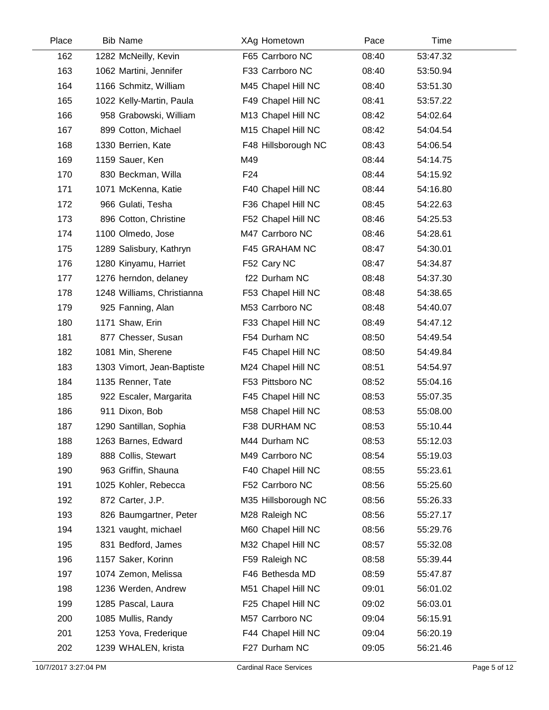| Place | <b>Bib Name</b>            | XAg Hometown        | Pace  | Time     |  |
|-------|----------------------------|---------------------|-------|----------|--|
| 162   | 1282 McNeilly, Kevin       | F65 Carrboro NC     | 08:40 | 53:47.32 |  |
| 163   | 1062 Martini, Jennifer     | F33 Carrboro NC     | 08:40 | 53:50.94 |  |
| 164   | 1166 Schmitz, William      | M45 Chapel Hill NC  | 08:40 | 53:51.30 |  |
| 165   | 1022 Kelly-Martin, Paula   | F49 Chapel Hill NC  | 08:41 | 53:57.22 |  |
| 166   | 958 Grabowski, William     | M13 Chapel Hill NC  | 08:42 | 54:02.64 |  |
| 167   | 899 Cotton, Michael        | M15 Chapel Hill NC  | 08:42 | 54:04.54 |  |
| 168   | 1330 Berrien, Kate         | F48 Hillsborough NC | 08:43 | 54:06.54 |  |
| 169   | 1159 Sauer, Ken            | M49                 | 08:44 | 54:14.75 |  |
| 170   | 830 Beckman, Willa         | F <sub>24</sub>     | 08:44 | 54:15.92 |  |
| 171   | 1071 McKenna, Katie        | F40 Chapel Hill NC  | 08:44 | 54:16.80 |  |
| 172   | 966 Gulati, Tesha          | F36 Chapel Hill NC  | 08:45 | 54:22.63 |  |
| 173   | 896 Cotton, Christine      | F52 Chapel Hill NC  | 08:46 | 54:25.53 |  |
| 174   | 1100 Olmedo, Jose          | M47 Carrboro NC     | 08:46 | 54:28.61 |  |
| 175   | 1289 Salisbury, Kathryn    | F45 GRAHAM NC       | 08:47 | 54:30.01 |  |
| 176   | 1280 Kinyamu, Harriet      | F52 Cary NC         | 08:47 | 54:34.87 |  |
| 177   | 1276 herndon, delaney      | f22 Durham NC       | 08:48 | 54:37.30 |  |
| 178   | 1248 Williams, Christianna | F53 Chapel Hill NC  | 08:48 | 54:38.65 |  |
| 179   | 925 Fanning, Alan          | M53 Carrboro NC     | 08:48 | 54:40.07 |  |
| 180   | 1171 Shaw, Erin            | F33 Chapel Hill NC  | 08:49 | 54:47.12 |  |
| 181   | 877 Chesser, Susan         | F54 Durham NC       | 08:50 | 54:49.54 |  |
| 182   | 1081 Min, Sherene          | F45 Chapel Hill NC  | 08:50 | 54:49.84 |  |
| 183   | 1303 Vimort, Jean-Baptiste | M24 Chapel Hill NC  | 08:51 | 54:54.97 |  |
| 184   | 1135 Renner, Tate          | F53 Pittsboro NC    | 08:52 | 55:04.16 |  |
| 185   | 922 Escaler, Margarita     | F45 Chapel Hill NC  | 08:53 | 55:07.35 |  |
| 186   | 911 Dixon, Bob             | M58 Chapel Hill NC  | 08:53 | 55:08.00 |  |
| 187   | 1290 Santillan, Sophia     | F38 DURHAM NC       | 08:53 | 55:10.44 |  |
| 188   | 1263 Barnes, Edward        | M44 Durham NC       | 08:53 | 55:12.03 |  |
| 189   | 888 Collis, Stewart        | M49 Carrboro NC     | 08:54 | 55:19.03 |  |
| 190   | 963 Griffin, Shauna        | F40 Chapel Hill NC  | 08:55 | 55:23.61 |  |
| 191   | 1025 Kohler, Rebecca       | F52 Carrboro NC     | 08:56 | 55:25.60 |  |
| 192   | 872 Carter, J.P.           | M35 Hillsborough NC | 08:56 | 55:26.33 |  |
| 193   | 826 Baumgartner, Peter     | M28 Raleigh NC      | 08:56 | 55:27.17 |  |
| 194   | 1321 vaught, michael       | M60 Chapel Hill NC  | 08:56 | 55:29.76 |  |
| 195   | 831 Bedford, James         | M32 Chapel Hill NC  | 08:57 | 55:32.08 |  |
| 196   | 1157 Saker, Korinn         | F59 Raleigh NC      | 08:58 | 55:39.44 |  |
| 197   | 1074 Zemon, Melissa        | F46 Bethesda MD     | 08:59 | 55:47.87 |  |
| 198   | 1236 Werden, Andrew        | M51 Chapel Hill NC  | 09:01 | 56:01.02 |  |
| 199   | 1285 Pascal, Laura         | F25 Chapel Hill NC  | 09:02 | 56:03.01 |  |
| 200   | 1085 Mullis, Randy         | M57 Carrboro NC     | 09:04 | 56:15.91 |  |
| 201   | 1253 Yova, Frederique      | F44 Chapel Hill NC  | 09:04 | 56:20.19 |  |
| 202   | 1239 WHALEN, krista        | F27 Durham NC       | 09:05 | 56:21.46 |  |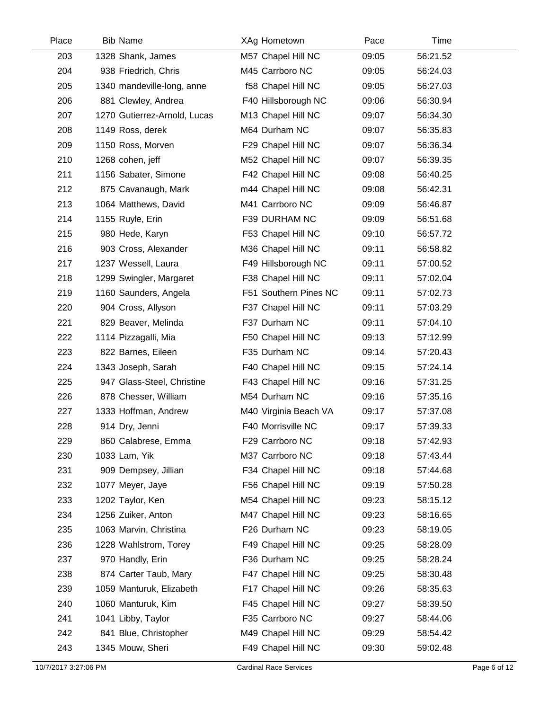| Place | <b>Bib Name</b>              | XAg Hometown          | Pace  | Time     |  |
|-------|------------------------------|-----------------------|-------|----------|--|
| 203   | 1328 Shank, James            | M57 Chapel Hill NC    | 09:05 | 56:21.52 |  |
| 204   | 938 Friedrich, Chris         | M45 Carrboro NC       | 09:05 | 56:24.03 |  |
| 205   | 1340 mandeville-long, anne   | f58 Chapel Hill NC    | 09:05 | 56:27.03 |  |
| 206   | 881 Clewley, Andrea          | F40 Hillsborough NC   | 09:06 | 56:30.94 |  |
| 207   | 1270 Gutierrez-Arnold, Lucas | M13 Chapel Hill NC    | 09:07 | 56:34.30 |  |
| 208   | 1149 Ross, derek             | M64 Durham NC         | 09:07 | 56:35.83 |  |
| 209   | 1150 Ross, Morven            | F29 Chapel Hill NC    | 09:07 | 56:36.34 |  |
| 210   | 1268 cohen, jeff             | M52 Chapel Hill NC    | 09:07 | 56:39.35 |  |
| 211   | 1156 Sabater, Simone         | F42 Chapel Hill NC    | 09:08 | 56:40.25 |  |
| 212   | 875 Cavanaugh, Mark          | m44 Chapel Hill NC    | 09:08 | 56:42.31 |  |
| 213   | 1064 Matthews, David         | M41 Carrboro NC       | 09:09 | 56:46.87 |  |
| 214   | 1155 Ruyle, Erin             | F39 DURHAM NC         | 09:09 | 56:51.68 |  |
| 215   | 980 Hede, Karyn              | F53 Chapel Hill NC    | 09:10 | 56:57.72 |  |
| 216   | 903 Cross, Alexander         | M36 Chapel Hill NC    | 09:11 | 56:58.82 |  |
| 217   | 1237 Wessell, Laura          | F49 Hillsborough NC   | 09:11 | 57:00.52 |  |
| 218   | 1299 Swingler, Margaret      | F38 Chapel Hill NC    | 09:11 | 57:02.04 |  |
| 219   | 1160 Saunders, Angela        | F51 Southern Pines NC | 09:11 | 57:02.73 |  |
| 220   | 904 Cross, Allyson           | F37 Chapel Hill NC    | 09:11 | 57:03.29 |  |
| 221   | 829 Beaver, Melinda          | F37 Durham NC         | 09:11 | 57:04.10 |  |
| 222   | 1114 Pizzagalli, Mia         | F50 Chapel Hill NC    | 09:13 | 57:12.99 |  |
| 223   | 822 Barnes, Eileen           | F35 Durham NC         | 09:14 | 57:20.43 |  |
| 224   | 1343 Joseph, Sarah           | F40 Chapel Hill NC    | 09:15 | 57:24.14 |  |
| 225   | 947 Glass-Steel, Christine   | F43 Chapel Hill NC    | 09:16 | 57:31.25 |  |
| 226   | 878 Chesser, William         | M54 Durham NC         | 09:16 | 57:35.16 |  |
| 227   | 1333 Hoffman, Andrew         | M40 Virginia Beach VA | 09:17 | 57:37.08 |  |
| 228   | 914 Dry, Jenni               | F40 Morrisville NC    | 09:17 | 57:39.33 |  |
| 229   | 860 Calabrese, Emma          | F29 Carrboro NC       | 09:18 | 57:42.93 |  |
| 230   | 1033 Lam, Yik                | M37 Carrboro NC       | 09:18 | 57:43.44 |  |
| 231   | 909 Dempsey, Jillian         | F34 Chapel Hill NC    | 09:18 | 57:44.68 |  |
| 232   | 1077 Meyer, Jaye             | F56 Chapel Hill NC    | 09:19 | 57:50.28 |  |
| 233   | 1202 Taylor, Ken             | M54 Chapel Hill NC    | 09:23 | 58:15.12 |  |
| 234   | 1256 Zuiker, Anton           | M47 Chapel Hill NC    | 09:23 | 58:16.65 |  |
| 235   | 1063 Marvin, Christina       | F26 Durham NC         | 09:23 | 58:19.05 |  |
| 236   | 1228 Wahlstrom, Torey        | F49 Chapel Hill NC    | 09:25 | 58:28.09 |  |
| 237   | 970 Handly, Erin             | F36 Durham NC         | 09:25 | 58:28.24 |  |
| 238   | 874 Carter Taub, Mary        | F47 Chapel Hill NC    | 09:25 | 58:30.48 |  |
| 239   | 1059 Manturuk, Elizabeth     | F17 Chapel Hill NC    | 09:26 | 58:35.63 |  |
| 240   | 1060 Manturuk, Kim           | F45 Chapel Hill NC    | 09:27 | 58:39.50 |  |
| 241   | 1041 Libby, Taylor           | F35 Carrboro NC       | 09:27 | 58:44.06 |  |
| 242   | 841 Blue, Christopher        | M49 Chapel Hill NC    | 09:29 | 58:54.42 |  |
| 243   | 1345 Mouw, Sheri             | F49 Chapel Hill NC    | 09:30 | 59:02.48 |  |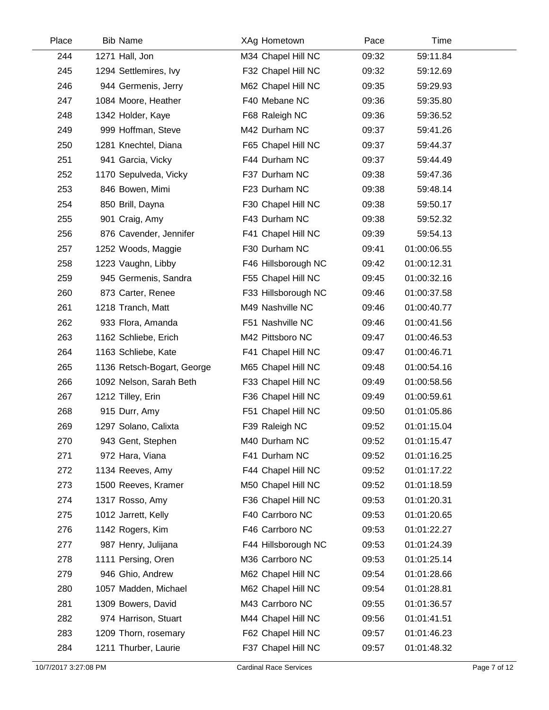| Place | <b>Bib Name</b>            | XAg Hometown        | Pace  | Time        |  |
|-------|----------------------------|---------------------|-------|-------------|--|
| 244   | 1271 Hall, Jon             | M34 Chapel Hill NC  | 09:32 | 59:11.84    |  |
| 245   | 1294 Settlemires, Ivy      | F32 Chapel Hill NC  | 09:32 | 59:12.69    |  |
| 246   | 944 Germenis, Jerry        | M62 Chapel Hill NC  | 09:35 | 59:29.93    |  |
| 247   | 1084 Moore, Heather        | F40 Mebane NC       | 09:36 | 59:35.80    |  |
| 248   | 1342 Holder, Kaye          | F68 Raleigh NC      | 09:36 | 59:36.52    |  |
| 249   | 999 Hoffman, Steve         | M42 Durham NC       | 09:37 | 59:41.26    |  |
| 250   | 1281 Knechtel, Diana       | F65 Chapel Hill NC  | 09:37 | 59:44.37    |  |
| 251   | 941 Garcia, Vicky          | F44 Durham NC       | 09:37 | 59:44.49    |  |
| 252   | 1170 Sepulveda, Vicky      | F37 Durham NC       | 09:38 | 59:47.36    |  |
| 253   | 846 Bowen, Mimi            | F23 Durham NC       | 09:38 | 59:48.14    |  |
| 254   | 850 Brill, Dayna           | F30 Chapel Hill NC  | 09:38 | 59:50.17    |  |
| 255   | 901 Craig, Amy             | F43 Durham NC       | 09:38 | 59:52.32    |  |
| 256   | 876 Cavender, Jennifer     | F41 Chapel Hill NC  | 09:39 | 59:54.13    |  |
| 257   | 1252 Woods, Maggie         | F30 Durham NC       | 09:41 | 01:00:06.55 |  |
| 258   | 1223 Vaughn, Libby         | F46 Hillsborough NC | 09:42 | 01:00:12.31 |  |
| 259   | 945 Germenis, Sandra       | F55 Chapel Hill NC  | 09:45 | 01:00:32.16 |  |
| 260   | 873 Carter, Renee          | F33 Hillsborough NC | 09:46 | 01:00:37.58 |  |
| 261   | 1218 Tranch, Matt          | M49 Nashville NC    | 09:46 | 01:00:40.77 |  |
| 262   | 933 Flora, Amanda          | F51 Nashville NC    | 09:46 | 01:00:41.56 |  |
| 263   | 1162 Schliebe, Erich       | M42 Pittsboro NC    | 09:47 | 01:00:46.53 |  |
| 264   | 1163 Schliebe, Kate        | F41 Chapel Hill NC  | 09:47 | 01:00:46.71 |  |
| 265   | 1136 Retsch-Bogart, George | M65 Chapel Hill NC  | 09:48 | 01:00:54.16 |  |
| 266   | 1092 Nelson, Sarah Beth    | F33 Chapel Hill NC  | 09:49 | 01:00:58.56 |  |
| 267   | 1212 Tilley, Erin          | F36 Chapel Hill NC  | 09:49 | 01:00:59.61 |  |
| 268   | 915 Durr, Amy              | F51 Chapel Hill NC  | 09:50 | 01:01:05.86 |  |
| 269   | 1297 Solano, Calixta       | F39 Raleigh NC      | 09:52 | 01:01:15.04 |  |
| 270   | 943 Gent, Stephen          | M40 Durham NC       | 09:52 | 01:01:15.47 |  |
| 271   | 972 Hara, Viana            | F41 Durham NC       | 09:52 | 01:01:16.25 |  |
| 272   | 1134 Reeves, Amy           | F44 Chapel Hill NC  | 09:52 | 01:01:17.22 |  |
| 273   | 1500 Reeves, Kramer        | M50 Chapel Hill NC  | 09:52 | 01:01:18.59 |  |
| 274   | 1317 Rosso, Amy            | F36 Chapel Hill NC  | 09:53 | 01:01:20.31 |  |
| 275   | 1012 Jarrett, Kelly        | F40 Carrboro NC     | 09:53 | 01:01:20.65 |  |
| 276   | 1142 Rogers, Kim           | F46 Carrboro NC     | 09:53 | 01:01:22.27 |  |
| 277   | 987 Henry, Julijana        | F44 Hillsborough NC | 09:53 | 01:01:24.39 |  |
| 278   | 1111 Persing, Oren         | M36 Carrboro NC     | 09:53 | 01:01:25.14 |  |
| 279   | 946 Ghio, Andrew           | M62 Chapel Hill NC  | 09:54 | 01:01:28.66 |  |
| 280   | 1057 Madden, Michael       | M62 Chapel Hill NC  | 09:54 | 01:01:28.81 |  |
| 281   | 1309 Bowers, David         | M43 Carrboro NC     | 09:55 | 01:01:36.57 |  |
| 282   | 974 Harrison, Stuart       | M44 Chapel Hill NC  | 09:56 | 01:01:41.51 |  |
| 283   | 1209 Thorn, rosemary       | F62 Chapel Hill NC  | 09:57 | 01:01:46.23 |  |
| 284   | 1211 Thurber, Laurie       | F37 Chapel Hill NC  | 09:57 | 01:01:48.32 |  |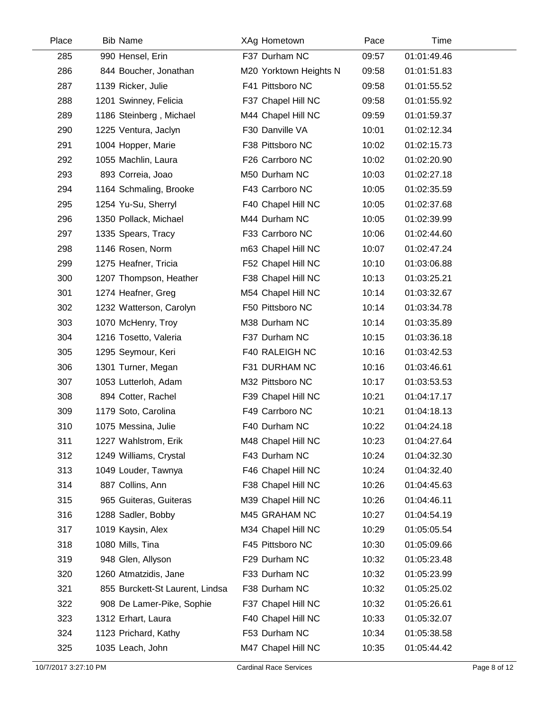| Place | <b>Bib Name</b>                 | XAg Hometown           | Pace  | Time        |  |
|-------|---------------------------------|------------------------|-------|-------------|--|
| 285   | 990 Hensel, Erin                | F37 Durham NC          | 09:57 | 01:01:49.46 |  |
| 286   | 844 Boucher, Jonathan           | M20 Yorktown Heights N | 09:58 | 01:01:51.83 |  |
| 287   | 1139 Ricker, Julie              | F41 Pittsboro NC       | 09:58 | 01:01:55.52 |  |
| 288   | 1201 Swinney, Felicia           | F37 Chapel Hill NC     | 09:58 | 01:01:55.92 |  |
| 289   | 1186 Steinberg, Michael         | M44 Chapel Hill NC     | 09:59 | 01:01:59.37 |  |
| 290   | 1225 Ventura, Jaclyn            | F30 Danville VA        | 10:01 | 01:02:12.34 |  |
| 291   | 1004 Hopper, Marie              | F38 Pittsboro NC       | 10:02 | 01:02:15.73 |  |
| 292   | 1055 Machlin, Laura             | F26 Carrboro NC        | 10:02 | 01:02:20.90 |  |
| 293   | 893 Correia, Joao               | M50 Durham NC          | 10:03 | 01:02:27.18 |  |
| 294   | 1164 Schmaling, Brooke          | F43 Carrboro NC        | 10:05 | 01:02:35.59 |  |
| 295   | 1254 Yu-Su, Sherryl             | F40 Chapel Hill NC     | 10:05 | 01:02:37.68 |  |
| 296   | 1350 Pollack, Michael           | M44 Durham NC          | 10:05 | 01:02:39.99 |  |
| 297   | 1335 Spears, Tracy              | F33 Carrboro NC        | 10:06 | 01:02:44.60 |  |
| 298   | 1146 Rosen, Norm                | m63 Chapel Hill NC     | 10:07 | 01:02:47.24 |  |
| 299   | 1275 Heafner, Tricia            | F52 Chapel Hill NC     | 10:10 | 01:03:06.88 |  |
| 300   | 1207 Thompson, Heather          | F38 Chapel Hill NC     | 10:13 | 01:03:25.21 |  |
| 301   | 1274 Heafner, Greg              | M54 Chapel Hill NC     | 10:14 | 01:03:32.67 |  |
| 302   | 1232 Watterson, Carolyn         | F50 Pittsboro NC       | 10:14 | 01:03:34.78 |  |
| 303   | 1070 McHenry, Troy              | M38 Durham NC          | 10:14 | 01:03:35.89 |  |
| 304   | 1216 Tosetto, Valeria           | F37 Durham NC          | 10:15 | 01:03:36.18 |  |
| 305   | 1295 Seymour, Keri              | F40 RALEIGH NC         | 10:16 | 01:03:42.53 |  |
| 306   | 1301 Turner, Megan              | F31 DURHAM NC          | 10:16 | 01:03:46.61 |  |
| 307   | 1053 Lutterloh, Adam            | M32 Pittsboro NC       | 10:17 | 01:03:53.53 |  |
| 308   | 894 Cotter, Rachel              | F39 Chapel Hill NC     | 10:21 | 01:04:17.17 |  |
| 309   | 1179 Soto, Carolina             | F49 Carrboro NC        | 10:21 | 01:04:18.13 |  |
| 310   | 1075 Messina, Julie             | F40 Durham NC          | 10:22 | 01:04:24.18 |  |
| 311   | 1227 Wahlstrom, Erik            | M48 Chapel Hill NC     | 10:23 | 01:04:27.64 |  |
| 312   | 1249 Williams, Crystal          | F43 Durham NC          | 10:24 | 01:04:32.30 |  |
| 313   | 1049 Louder, Tawnya             | F46 Chapel Hill NC     | 10:24 | 01:04:32.40 |  |
| 314   | 887 Collins, Ann                | F38 Chapel Hill NC     | 10:26 | 01:04:45.63 |  |
| 315   | 965 Guiteras, Guiteras          | M39 Chapel Hill NC     | 10:26 | 01:04:46.11 |  |
| 316   | 1288 Sadler, Bobby              | M45 GRAHAM NC          | 10:27 | 01:04:54.19 |  |
| 317   | 1019 Kaysin, Alex               | M34 Chapel Hill NC     | 10:29 | 01:05:05.54 |  |
| 318   | 1080 Mills, Tina                | F45 Pittsboro NC       | 10:30 | 01:05:09.66 |  |
| 319   | 948 Glen, Allyson               | F29 Durham NC          | 10:32 | 01:05:23.48 |  |
| 320   | 1260 Atmatzidis, Jane           | F33 Durham NC          | 10:32 | 01:05:23.99 |  |
| 321   | 855 Burckett-St Laurent, Lindsa | F38 Durham NC          | 10:32 | 01:05:25.02 |  |
| 322   | 908 De Lamer-Pike, Sophie       | F37 Chapel Hill NC     | 10:32 | 01:05:26.61 |  |
| 323   | 1312 Erhart, Laura              | F40 Chapel Hill NC     | 10:33 | 01:05:32.07 |  |
| 324   | 1123 Prichard, Kathy            | F53 Durham NC          | 10:34 | 01:05:38.58 |  |
| 325   | 1035 Leach, John                | M47 Chapel Hill NC     | 10:35 | 01:05:44.42 |  |
|       |                                 |                        |       |             |  |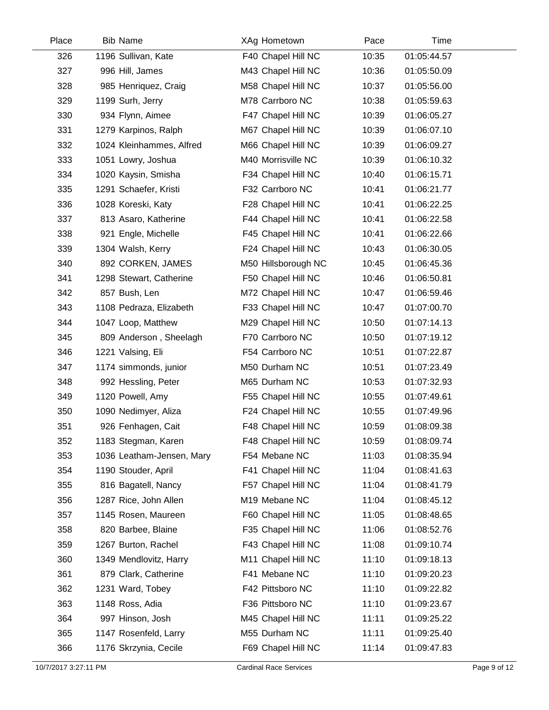| Place | <b>Bib Name</b>           | XAg Hometown        | Pace  | Time        |  |
|-------|---------------------------|---------------------|-------|-------------|--|
| 326   | 1196 Sullivan, Kate       | F40 Chapel Hill NC  | 10:35 | 01:05:44.57 |  |
| 327   | 996 Hill, James           | M43 Chapel Hill NC  | 10:36 | 01:05:50.09 |  |
| 328   | 985 Henriquez, Craig      | M58 Chapel Hill NC  | 10:37 | 01:05:56.00 |  |
| 329   | 1199 Surh, Jerry          | M78 Carrboro NC     | 10:38 | 01:05:59.63 |  |
| 330   | 934 Flynn, Aimee          | F47 Chapel Hill NC  | 10:39 | 01:06:05.27 |  |
| 331   | 1279 Karpinos, Ralph      | M67 Chapel Hill NC  | 10:39 | 01:06:07.10 |  |
| 332   | 1024 Kleinhammes, Alfred  | M66 Chapel Hill NC  | 10:39 | 01:06:09.27 |  |
| 333   | 1051 Lowry, Joshua        | M40 Morrisville NC  | 10:39 | 01:06:10.32 |  |
| 334   | 1020 Kaysin, Smisha       | F34 Chapel Hill NC  | 10:40 | 01:06:15.71 |  |
| 335   | 1291 Schaefer, Kristi     | F32 Carrboro NC     | 10:41 | 01:06:21.77 |  |
| 336   | 1028 Koreski, Katy        | F28 Chapel Hill NC  | 10:41 | 01:06:22.25 |  |
| 337   | 813 Asaro, Katherine      | F44 Chapel Hill NC  | 10:41 | 01:06:22.58 |  |
| 338   | 921 Engle, Michelle       | F45 Chapel Hill NC  | 10:41 | 01:06:22.66 |  |
| 339   | 1304 Walsh, Kerry         | F24 Chapel Hill NC  | 10:43 | 01:06:30.05 |  |
| 340   | 892 CORKEN, JAMES         | M50 Hillsborough NC | 10:45 | 01:06:45.36 |  |
| 341   | 1298 Stewart, Catherine   | F50 Chapel Hill NC  | 10:46 | 01:06:50.81 |  |
| 342   | 857 Bush, Len             | M72 Chapel Hill NC  | 10:47 | 01:06:59.46 |  |
| 343   | 1108 Pedraza, Elizabeth   | F33 Chapel Hill NC  | 10:47 | 01:07:00.70 |  |
| 344   | 1047 Loop, Matthew        | M29 Chapel Hill NC  | 10:50 | 01:07:14.13 |  |
| 345   | 809 Anderson, Sheelagh    | F70 Carrboro NC     | 10:50 | 01:07:19.12 |  |
| 346   | 1221 Valsing, Eli         | F54 Carrboro NC     | 10:51 | 01:07:22.87 |  |
| 347   | 1174 simmonds, junior     | M50 Durham NC       | 10:51 | 01:07:23.49 |  |
| 348   | 992 Hessling, Peter       | M65 Durham NC       | 10:53 | 01:07:32.93 |  |
| 349   | 1120 Powell, Amy          | F55 Chapel Hill NC  | 10:55 | 01:07:49.61 |  |
| 350   | 1090 Nedimyer, Aliza      | F24 Chapel Hill NC  | 10:55 | 01:07:49.96 |  |
| 351   | 926 Fenhagen, Cait        | F48 Chapel Hill NC  | 10:59 | 01:08:09.38 |  |
| 352   | 1183 Stegman, Karen       | F48 Chapel Hill NC  | 10:59 | 01:08:09.74 |  |
| 353   | 1036 Leatham-Jensen, Mary | F54 Mebane NC       | 11:03 | 01:08:35.94 |  |
| 354   | 1190 Stouder, April       | F41 Chapel Hill NC  | 11:04 | 01:08:41.63 |  |
| 355   | 816 Bagatell, Nancy       | F57 Chapel Hill NC  | 11:04 | 01:08:41.79 |  |
| 356   | 1287 Rice, John Allen     | M19 Mebane NC       | 11:04 | 01:08:45.12 |  |
| 357   | 1145 Rosen, Maureen       | F60 Chapel Hill NC  | 11:05 | 01:08:48.65 |  |
| 358   | 820 Barbee, Blaine        | F35 Chapel Hill NC  | 11:06 | 01:08:52.76 |  |
| 359   | 1267 Burton, Rachel       | F43 Chapel Hill NC  | 11:08 | 01:09:10.74 |  |
| 360   | 1349 Mendlovitz, Harry    | M11 Chapel Hill NC  | 11:10 | 01:09:18.13 |  |
| 361   | 879 Clark, Catherine      | F41 Mebane NC       | 11:10 | 01:09:20.23 |  |
| 362   | 1231 Ward, Tobey          | F42 Pittsboro NC    | 11:10 | 01:09:22.82 |  |
| 363   | 1148 Ross, Adia           | F36 Pittsboro NC    | 11:10 | 01:09:23.67 |  |
| 364   | 997 Hinson, Josh          | M45 Chapel Hill NC  | 11:11 | 01:09:25.22 |  |
| 365   | 1147 Rosenfeld, Larry     | M55 Durham NC       | 11:11 | 01:09:25.40 |  |
| 366   | 1176 Skrzynia, Cecile     | F69 Chapel Hill NC  | 11:14 | 01:09:47.83 |  |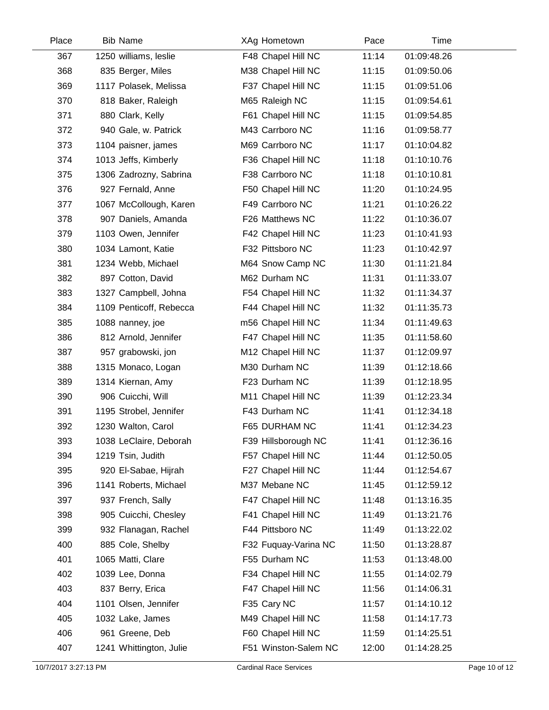| Place | <b>Bib Name</b>         | XAg Hometown         | Pace  | Time        |  |
|-------|-------------------------|----------------------|-------|-------------|--|
| 367   | 1250 williams, leslie   | F48 Chapel Hill NC   | 11:14 | 01:09:48.26 |  |
| 368   | 835 Berger, Miles       | M38 Chapel Hill NC   | 11:15 | 01:09:50.06 |  |
| 369   | 1117 Polasek, Melissa   | F37 Chapel Hill NC   | 11:15 | 01:09:51.06 |  |
| 370   | 818 Baker, Raleigh      | M65 Raleigh NC       | 11:15 | 01:09:54.61 |  |
| 371   | 880 Clark, Kelly        | F61 Chapel Hill NC   | 11:15 | 01:09:54.85 |  |
| 372   | 940 Gale, w. Patrick    | M43 Carrboro NC      | 11:16 | 01:09:58.77 |  |
| 373   | 1104 paisner, james     | M69 Carrboro NC      | 11:17 | 01:10:04.82 |  |
| 374   | 1013 Jeffs, Kimberly    | F36 Chapel Hill NC   | 11:18 | 01:10:10.76 |  |
| 375   | 1306 Zadrozny, Sabrina  | F38 Carrboro NC      | 11:18 | 01:10:10.81 |  |
| 376   | 927 Fernald, Anne       | F50 Chapel Hill NC   | 11:20 | 01:10:24.95 |  |
| 377   | 1067 McCollough, Karen  | F49 Carrboro NC      | 11:21 | 01:10:26.22 |  |
| 378   | 907 Daniels, Amanda     | F26 Matthews NC      | 11:22 | 01:10:36.07 |  |
| 379   | 1103 Owen, Jennifer     | F42 Chapel Hill NC   | 11:23 | 01:10:41.93 |  |
| 380   | 1034 Lamont, Katie      | F32 Pittsboro NC     | 11:23 | 01:10:42.97 |  |
| 381   | 1234 Webb, Michael      | M64 Snow Camp NC     | 11:30 | 01:11:21.84 |  |
| 382   | 897 Cotton, David       | M62 Durham NC        | 11:31 | 01:11:33.07 |  |
| 383   | 1327 Campbell, Johna    | F54 Chapel Hill NC   | 11:32 | 01:11:34.37 |  |
| 384   | 1109 Penticoff, Rebecca | F44 Chapel Hill NC   | 11:32 | 01:11:35.73 |  |
| 385   | 1088 nanney, joe        | m56 Chapel Hill NC   | 11:34 | 01:11:49.63 |  |
| 386   | 812 Arnold, Jennifer    | F47 Chapel Hill NC   | 11:35 | 01:11:58.60 |  |
| 387   | 957 grabowski, jon      | M12 Chapel Hill NC   | 11:37 | 01:12:09.97 |  |
| 388   | 1315 Monaco, Logan      | M30 Durham NC        | 11:39 | 01:12:18.66 |  |
| 389   | 1314 Kiernan, Amy       | F23 Durham NC        | 11:39 | 01:12:18.95 |  |
| 390   | 906 Cuicchi, Will       | M11 Chapel Hill NC   | 11:39 | 01:12:23.34 |  |
| 391   | 1195 Strobel, Jennifer  | F43 Durham NC        | 11:41 | 01:12:34.18 |  |
| 392   | 1230 Walton, Carol      | F65 DURHAM NC        | 11:41 | 01:12:34.23 |  |
| 393   | 1038 LeClaire, Deborah  | F39 Hillsborough NC  | 11:41 | 01:12:36.16 |  |
| 394   | 1219 Tsin, Judith       | F57 Chapel Hill NC   | 11:44 | 01:12:50.05 |  |
| 395   | 920 El-Sabae, Hijrah    | F27 Chapel Hill NC   | 11:44 | 01:12:54.67 |  |
| 396   | 1141 Roberts, Michael   | M37 Mebane NC        | 11:45 | 01:12:59.12 |  |
| 397   | 937 French, Sally       | F47 Chapel Hill NC   | 11:48 | 01:13:16.35 |  |
| 398   | 905 Cuicchi, Chesley    | F41 Chapel Hill NC   | 11:49 | 01:13:21.76 |  |
| 399   | 932 Flanagan, Rachel    | F44 Pittsboro NC     | 11:49 | 01:13:22.02 |  |
| 400   | 885 Cole, Shelby        | F32 Fuquay-Varina NC | 11:50 | 01:13:28.87 |  |
| 401   | 1065 Matti, Clare       | F55 Durham NC        | 11:53 | 01:13:48.00 |  |
| 402   | 1039 Lee, Donna         | F34 Chapel Hill NC   | 11:55 | 01:14:02.79 |  |
| 403   | 837 Berry, Erica        | F47 Chapel Hill NC   | 11:56 | 01:14:06.31 |  |
| 404   | 1101 Olsen, Jennifer    | F35 Cary NC          | 11:57 | 01:14:10.12 |  |
| 405   | 1032 Lake, James        | M49 Chapel Hill NC   | 11:58 | 01:14:17.73 |  |
| 406   | 961 Greene, Deb         | F60 Chapel Hill NC   | 11:59 | 01:14:25.51 |  |
| 407   | 1241 Whittington, Julie | F51 Winston-Salem NC | 12:00 | 01:14:28.25 |  |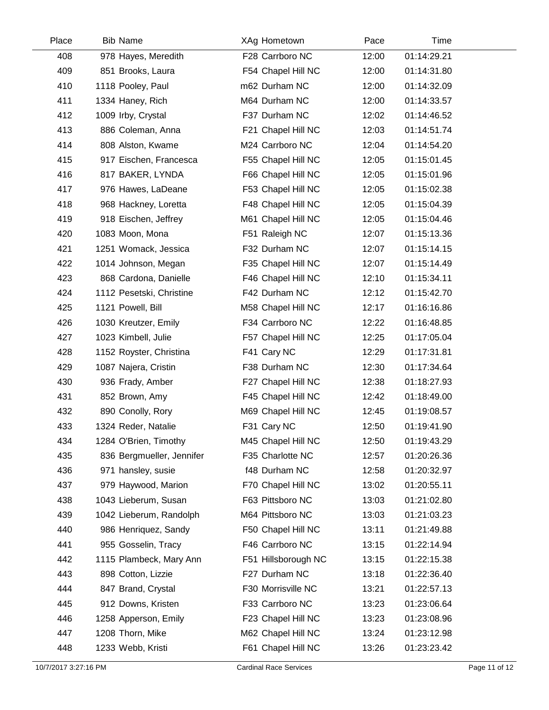| Place | <b>Bib Name</b>           | XAg Hometown        | Pace  | Time        |  |
|-------|---------------------------|---------------------|-------|-------------|--|
| 408   | 978 Hayes, Meredith       | F28 Carrboro NC     | 12:00 | 01:14:29.21 |  |
| 409   | 851 Brooks, Laura         | F54 Chapel Hill NC  | 12:00 | 01:14:31.80 |  |
| 410   | 1118 Pooley, Paul         | m62 Durham NC       | 12:00 | 01:14:32.09 |  |
| 411   | 1334 Haney, Rich          | M64 Durham NC       | 12:00 | 01:14:33.57 |  |
| 412   | 1009 Irby, Crystal        | F37 Durham NC       | 12:02 | 01:14:46.52 |  |
| 413   | 886 Coleman, Anna         | F21 Chapel Hill NC  | 12:03 | 01:14:51.74 |  |
| 414   | 808 Alston, Kwame         | M24 Carrboro NC     | 12:04 | 01:14:54.20 |  |
| 415   | 917 Eischen, Francesca    | F55 Chapel Hill NC  | 12:05 | 01:15:01.45 |  |
| 416   | 817 BAKER, LYNDA          | F66 Chapel Hill NC  | 12:05 | 01:15:01.96 |  |
| 417   | 976 Hawes, LaDeane        | F53 Chapel Hill NC  | 12:05 | 01:15:02.38 |  |
| 418   | 968 Hackney, Loretta      | F48 Chapel Hill NC  | 12:05 | 01:15:04.39 |  |
| 419   | 918 Eischen, Jeffrey      | M61 Chapel Hill NC  | 12:05 | 01:15:04.46 |  |
| 420   | 1083 Moon, Mona           | F51 Raleigh NC      | 12:07 | 01:15:13.36 |  |
| 421   | 1251 Womack, Jessica      | F32 Durham NC       | 12:07 | 01:15:14.15 |  |
| 422   | 1014 Johnson, Megan       | F35 Chapel Hill NC  | 12:07 | 01:15:14.49 |  |
| 423   | 868 Cardona, Danielle     | F46 Chapel Hill NC  | 12:10 | 01:15:34.11 |  |
| 424   | 1112 Pesetski, Christine  | F42 Durham NC       | 12:12 | 01:15:42.70 |  |
| 425   | 1121 Powell, Bill         | M58 Chapel Hill NC  | 12:17 | 01:16:16.86 |  |
| 426   | 1030 Kreutzer, Emily      | F34 Carrboro NC     | 12:22 | 01:16:48.85 |  |
| 427   | 1023 Kimbell, Julie       | F57 Chapel Hill NC  | 12:25 | 01:17:05.04 |  |
| 428   | 1152 Royster, Christina   | F41 Cary NC         | 12:29 | 01:17:31.81 |  |
| 429   | 1087 Najera, Cristin      | F38 Durham NC       | 12:30 | 01:17:34.64 |  |
| 430   | 936 Frady, Amber          | F27 Chapel Hill NC  | 12:38 | 01:18:27.93 |  |
| 431   | 852 Brown, Amy            | F45 Chapel Hill NC  | 12:42 | 01:18:49.00 |  |
| 432   | 890 Conolly, Rory         | M69 Chapel Hill NC  | 12:45 | 01:19:08.57 |  |
| 433   | 1324 Reder, Natalie       | F31 Cary NC         | 12:50 | 01:19:41.90 |  |
| 434   | 1284 O'Brien, Timothy     | M45 Chapel Hill NC  | 12:50 | 01:19:43.29 |  |
| 435   | 836 Bergmueller, Jennifer | F35 Charlotte NC    | 12:57 | 01:20:26.36 |  |
| 436   | 971 hansley, susie        | f48 Durham NC       | 12:58 | 01:20:32.97 |  |
| 437   | 979 Haywood, Marion       | F70 Chapel Hill NC  | 13:02 | 01:20:55.11 |  |
| 438   | 1043 Lieberum, Susan      | F63 Pittsboro NC    | 13:03 | 01:21:02.80 |  |
| 439   | 1042 Lieberum, Randolph   | M64 Pittsboro NC    | 13:03 | 01:21:03.23 |  |
| 440   | 986 Henriquez, Sandy      | F50 Chapel Hill NC  | 13:11 | 01:21:49.88 |  |
| 441   | 955 Gosselin, Tracy       | F46 Carrboro NC     | 13:15 | 01:22:14.94 |  |
| 442   | 1115 Plambeck, Mary Ann   | F51 Hillsborough NC | 13:15 | 01:22:15.38 |  |
| 443   | 898 Cotton, Lizzie        | F27 Durham NC       | 13:18 | 01:22:36.40 |  |
| 444   | 847 Brand, Crystal        | F30 Morrisville NC  | 13:21 | 01:22:57.13 |  |
| 445   | 912 Downs, Kristen        | F33 Carrboro NC     | 13:23 | 01:23:06.64 |  |
| 446   | 1258 Apperson, Emily      | F23 Chapel Hill NC  | 13:23 | 01:23:08.96 |  |
| 447   | 1208 Thorn, Mike          | M62 Chapel Hill NC  | 13:24 | 01:23:12.98 |  |
| 448   | 1233 Webb, Kristi         | F61 Chapel Hill NC  | 13:26 | 01:23:23.42 |  |